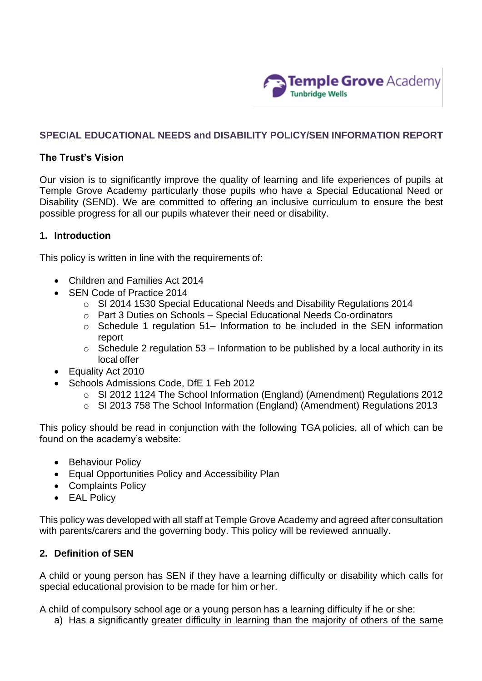

## **SPECIAL EDUCATIONAL NEEDS and DISABILITY POLICY/SEN INFORMATION REPORT**

#### **The Trust's Vision**

Our vision is to significantly improve the quality of learning and life experiences of pupils at Temple Grove Academy particularly those pupils who have a Special Educational Need or Disability (SEND). We are committed to offering an inclusive curriculum to ensure the best possible progress for all our pupils whatever their need or disability.

#### **1. Introduction**

This policy is written in line with the requirements of:

- Children and Families Act 2014
- SEN Code of Practice 2014
	- o SI 2014 1530 Special Educational Needs and Disability Regulations 2014
	- o Part 3 Duties on Schools Special Educational Needs Co-ordinators
	- $\circ$  Schedule 1 regulation 51– Information to be included in the SEN information report
	- $\circ$  Schedule 2 regulation 53 Information to be published by a local authority in its local offer
- Equality Act 2010
- Schools Admissions Code, DfE 1 Feb 2012
	- o SI 2012 1124 The School Information (England) (Amendment) Regulations 2012
	- o SI 2013 758 The School Information (England) (Amendment) Regulations 2013

This policy should be read in conjunction with the following TGA policies, all of which can be found on the academy's website:

- Behaviour Policy
- Equal Opportunities Policy and Accessibility Plan
- Complaints Policy
- EAL Policy

This policy was developed with all staff at Temple Grove Academy and agreed after consultation with parents/carers and the governing body. This policy will be reviewed annually.

### **2. Definition of SEN**

A child or young person has SEN if they have a learning difficulty or disability which calls for special educational provision to be made for him or her.

A child of compulsory school age or a young person has a learning difficulty if he or she:

a) Has a significantly greater difficulty in learning than the majority of others of the same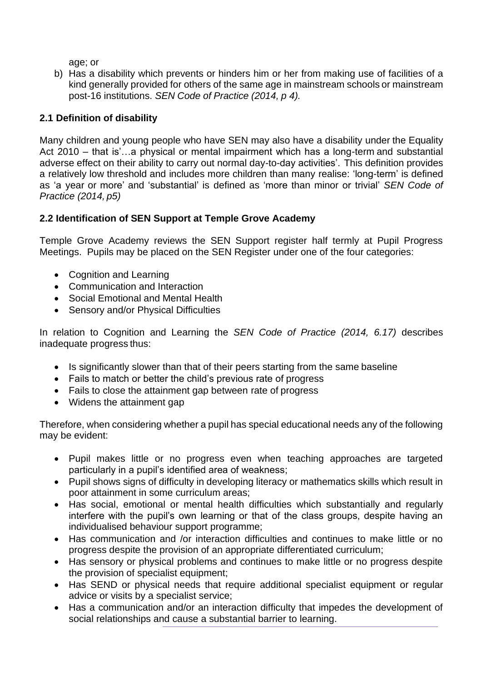age; or

b) Has a disability which prevents or hinders him or her from making use of facilities of a kind generally provided for others of the same age in mainstream schools or mainstream post-16 institutions. *SEN Code of Practice (2014, p 4).*

# **2.1 Definition of disability**

Many children and young people who have SEN may also have a disability under the Equality Act 2010 – that is'…a physical or mental impairment which has a long-term and substantial adverse effect on their ability to carry out normal day-to-day activities'. This definition provides a relatively low threshold and includes more children than many realise: 'long-term' is defined as 'a year or more' and 'substantial' is defined as 'more than minor or trivial' *SEN Code of Practice (2014, p5)*

# **2.2 Identification of SEN Support at Temple Grove Academy**

Temple Grove Academy reviews the SEN Support register half termly at Pupil Progress Meetings. Pupils may be placed on the SEN Register under one of the four categories:

- Cognition and Learning
- Communication and Interaction
- Social Emotional and Mental Health
- Sensory and/or Physical Difficulties

In relation to Cognition and Learning the *SEN Code of Practice (2014, 6.17)* describes inadequate progress thus:

- Is significantly slower than that of their peers starting from the same baseline
- Fails to match or better the child's previous rate of progress
- Fails to close the attainment gap between rate of progress
- Widens the attainment gap

Therefore, when considering whether a pupil has special educational needs any of the following may be evident:

- Pupil makes little or no progress even when teaching approaches are targeted particularly in a pupil's identified area of weakness;
- Pupil shows signs of difficulty in developing literacy or mathematics skills which result in poor attainment in some curriculum areas;
- Has social, emotional or mental health difficulties which substantially and regularly interfere with the pupil's own learning or that of the class groups, despite having an individualised behaviour support programme;
- Has communication and /or interaction difficulties and continues to make little or no progress despite the provision of an appropriate differentiated curriculum;
- Has sensory or physical problems and continues to make little or no progress despite the provision of specialist equipment;
- Has SEND or physical needs that require additional specialist equipment or regular advice or visits by a specialist service;
- Has a communication and/or an interaction difficulty that impedes the development of social relationships and cause a substantial barrier to learning.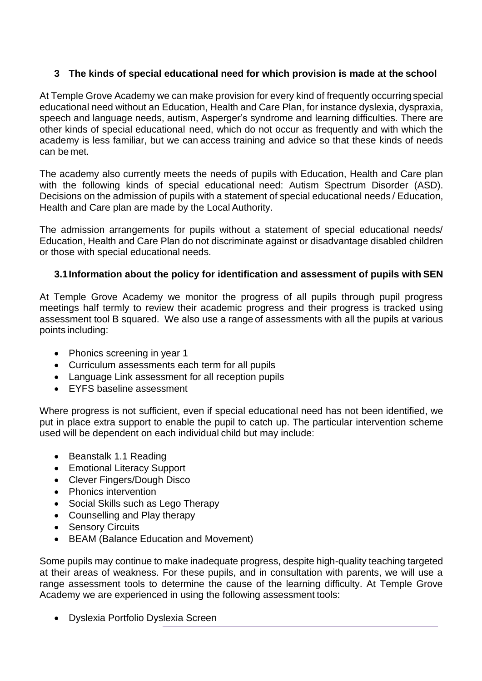# **3 The kinds of special educational need for which provision is made at the school**

At Temple Grove Academy we can make provision for every kind of frequently occurring special educational need without an Education, Health and Care Plan, for instance dyslexia, dyspraxia, speech and language needs, autism, Asperger's syndrome and learning difficulties. There are other kinds of special educational need, which do not occur as frequently and with which the academy is less familiar, but we can access training and advice so that these kinds of needs can be met.

The academy also currently meets the needs of pupils with Education, Health and Care plan with the following kinds of special educational need: Autism Spectrum Disorder (ASD). Decisions on the admission of pupils with a statement of special educational needs / Education, Health and Care plan are made by the Local Authority.

The admission arrangements for pupils without a statement of special educational needs/ Education, Health and Care Plan do not discriminate against or disadvantage disabled children or those with special educational needs.

# **3.1Information about the policy for identification and assessment of pupils with SEN**

At Temple Grove Academy we monitor the progress of all pupils through pupil progress meetings half termly to review their academic progress and their progress is tracked using assessment tool B squared. We also use a range of assessments with all the pupils at various points including:

- Phonics screening in year 1
- Curriculum assessments each term for all pupils
- Language Link assessment for all reception pupils
- EYFS baseline assessment

Where progress is not sufficient, even if special educational need has not been identified, we put in place extra support to enable the pupil to catch up. The particular intervention scheme used will be dependent on each individual child but may include:

- Beanstalk 1.1 Reading
- Emotional Literacy Support
- Clever Fingers/Dough Disco
- Phonics intervention
- Social Skills such as Lego Therapy
- Counselling and Play therapy
- Sensory Circuits
- BEAM (Balance Education and Movement)

Some pupils may continue to make inadequate progress, despite high-quality teaching targeted at their areas of weakness. For these pupils, and in consultation with parents, we will use a range assessment tools to determine the cause of the learning difficulty. At Temple Grove Academy we are experienced in using the following assessment tools:

• Dyslexia Portfolio Dyslexia Screen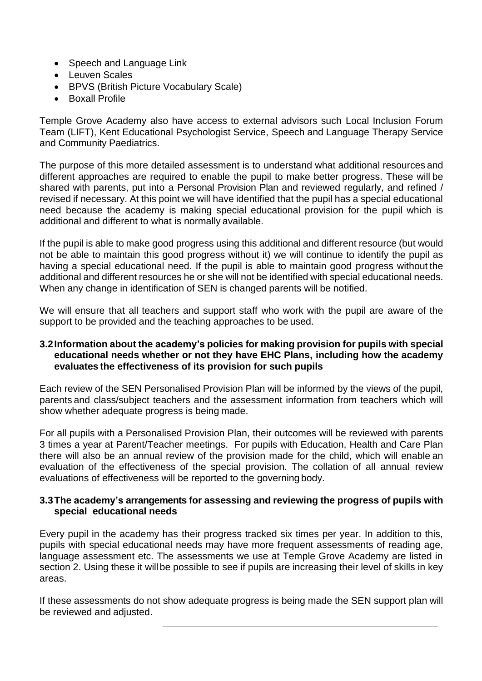- Speech and Language Link
- Leuven Scales
- BPVS (British Picture Vocabulary Scale)
- Boxall Profile

Temple Grove Academy also have access to external advisors such Local Inclusion Forum Team (LIFT), Kent Educational Psychologist Service, Speech and Language Therapy Service and Community Paediatrics.

The purpose of this more detailed assessment is to understand what additional resources and different approaches are required to enable the pupil to make better progress. These will be shared with parents, put into a Personal Provision Plan and reviewed regularly, and refined / revised if necessary. At this point we will have identified that the pupil has a special educational need because the academy is making special educational provision for the pupil which is additional and different to what is normally available.

If the pupil is able to make good progress using this additional and different resource (but would not be able to maintain this good progress without it) we will continue to identify the pupil as having a special educational need. If the pupil is able to maintain good progress without the additional and different resources he or she will not be identified with special educational needs. When any change in identification of SEN is changed parents will be notified.

We will ensure that all teachers and support staff who work with the pupil are aware of the support to be provided and the teaching approaches to be used.

### **3.2Information about the academy's policies for making provision for pupils with special educational needs whether or not they have EHC Plans, including how the academy evaluates the effectiveness of its provision for such pupils**

Each review of the SEN Personalised Provision Plan will be informed by the views of the pupil, parents and class/subject teachers and the assessment information from teachers which will show whether adequate progress is being made.

For all pupils with a Personalised Provision Plan, their outcomes will be reviewed with parents 3 times a year at Parent/Teacher meetings. For pupils with Education, Health and Care Plan there will also be an annual review of the provision made for the child, which will enable an evaluation of the effectiveness of the special provision. The collation of all annual review evaluations of effectiveness will be reported to the governing body.

### **3.3The academy's arrangements for assessing and reviewing the progress of pupils with special educational needs**

Every pupil in the academy has their progress tracked six times per year. In addition to this, pupils with special educational needs may have more frequent assessments of reading age, language assessment etc. The assessments we use at Temple Grove Academy are listed in section 2. Using these it will be possible to see if pupils are increasing their level of skills in key areas.

If these assessments do not show adequate progress is being made the SEN support plan will be reviewed and adjusted.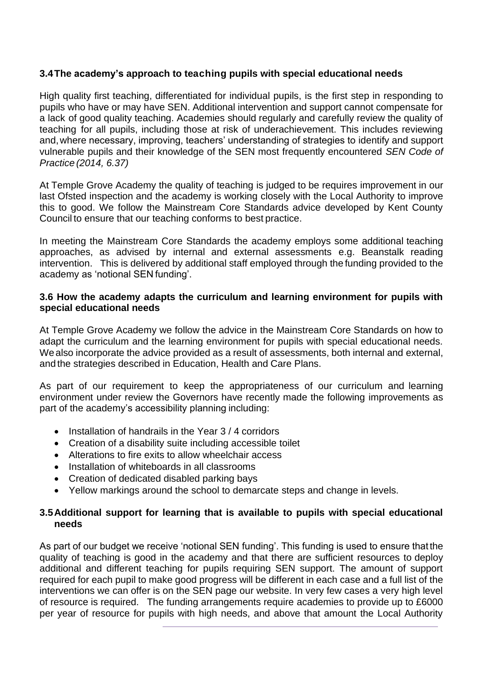## **3.4The academy's approach to teaching pupils with special educational needs**

High quality first teaching, differentiated for individual pupils, is the first step in responding to pupils who have or may have SEN. Additional intervention and support cannot compensate for a lack of good quality teaching. Academies should regularly and carefully review the quality of teaching for all pupils, including those at risk of underachievement. This includes reviewing and,where necessary, improving, teachers' understanding of strategies to identify and support vulnerable pupils and their knowledge of the SEN most frequently encountered *SEN Code of Practice (2014, 6.37)*

At Temple Grove Academy the quality of teaching is judged to be requires improvement in our last Ofsted inspection and the academy is working closely with the Local Authority to improve this to good. We follow the Mainstream Core Standards advice developed by Kent County Council to ensure that our teaching conforms to best practice.

In meeting the Mainstream Core Standards the academy employs some additional teaching approaches, as advised by internal and external assessments e.g. Beanstalk reading intervention. This is delivered by additional staff employed through the funding provided to the academy as 'notional SEN funding'.

### **3.6 How the academy adapts the curriculum and learning environment for pupils with special educational needs**

At Temple Grove Academy we follow the advice in the Mainstream Core Standards on how to adapt the curriculum and the learning environment for pupils with special educational needs. Wealso incorporate the advice provided as a result of assessments, both internal and external, and the strategies described in Education, Health and Care Plans.

As part of our requirement to keep the appropriateness of our curriculum and learning environment under review the Governors have recently made the following improvements as part of the academy's accessibility planning including:

- Installation of handrails in the Year 3 / 4 corridors
- Creation of a disability suite including accessible toilet
- Alterations to fire exits to allow wheelchair access
- Installation of whiteboards in all classrooms
- Creation of dedicated disabled parking bays
- Yellow markings around the school to demarcate steps and change in levels.

### **3.5Additional support for learning that is available to pupils with special educational needs**

As part of our budget we receive 'notional SEN funding'. This funding is used to ensure that the quality of teaching is good in the academy and that there are sufficient resources to deploy additional and different teaching for pupils requiring SEN support. The amount of support required for each pupil to make good progress will be different in each case and a full list of the interventions we can offer is on the SEN page our website. In very few cases a very high level of resource is required. The funding arrangements require academies to provide up to £6000 per year of resource for pupils with high needs, and above that amount the Local Authority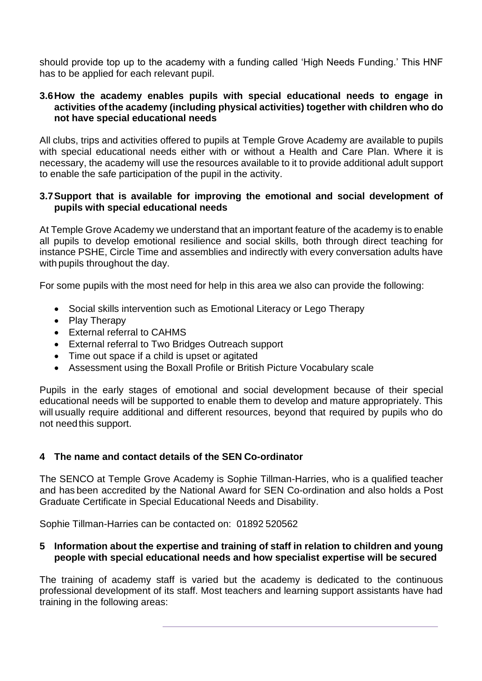should provide top up to the academy with a funding called 'High Needs Funding.' This HNF has to be applied for each relevant pupil.

#### **3.6How the academy enables pupils with special educational needs to engage in activities ofthe academy (including physical activities) together with children who do not have special educational needs**

All clubs, trips and activities offered to pupils at Temple Grove Academy are available to pupils with special educational needs either with or without a Health and Care Plan. Where it is necessary, the academy will use the resources available to it to provide additional adult support to enable the safe participation of the pupil in the activity.

## **3.7Support that is available for improving the emotional and social development of pupils with special educational needs**

At Temple Grove Academy we understand that an important feature of the academy is to enable all pupils to develop emotional resilience and social skills, both through direct teaching for instance PSHE, Circle Time and assemblies and indirectly with every conversation adults have with pupils throughout the day.

For some pupils with the most need for help in this area we also can provide the following:

- Social skills intervention such as Emotional Literacy or Lego Therapy
- Play Therapy
- External referral to CAHMS
- External referral to Two Bridges Outreach support
- Time out space if a child is upset or agitated
- Assessment using the Boxall Profile or British Picture Vocabulary scale

Pupils in the early stages of emotional and social development because of their special educational needs will be supported to enable them to develop and mature appropriately. This will usually require additional and different resources, beyond that required by pupils who do not need this support.

## **4 The name and contact details of the SEN Co-ordinator**

The SENCO at Temple Grove Academy is Sophie Tillman-Harries, who is a qualified teacher and has been accredited by the National Award for SEN Co-ordination and also holds a Post Graduate Certificate in Special Educational Needs and Disability.

Sophie Tillman-Harries can be contacted on: 01892 520562

## **5 Information about the expertise and training of staff in relation to children and young people with special educational needs and how specialist expertise will be secured**

The training of academy staff is varied but the academy is dedicated to the continuous professional development of its staff. Most teachers and learning support assistants have had training in the following areas: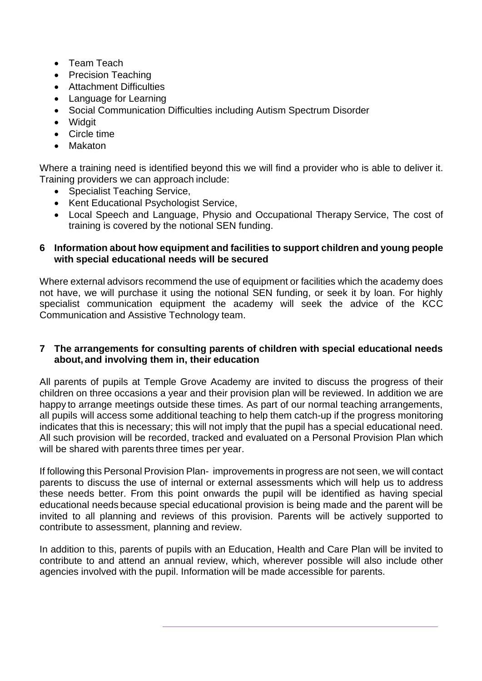- Team Teach
- Precision Teaching
- Attachment Difficulties
- Language for Learning
- Social Communication Difficulties including Autism Spectrum Disorder
- Widgit
- Circle time
- Makaton

Where a training need is identified beyond this we will find a provider who is able to deliver it. Training providers we can approach include:

- Specialist Teaching Service,
- Kent Educational Psychologist Service,
- Local Speech and Language, Physio and Occupational Therapy Service, The cost of training is covered by the notional SEN funding.

## **6 Information about how equipment and facilities to support children and young people with special educational needs will be secured**

Where external advisors recommend the use of equipment or facilities which the academy does not have, we will purchase it using the notional SEN funding, or seek it by loan. For highly specialist communication equipment the academy will seek the advice of the KCC Communication and Assistive Technology team.

## **7 The arrangements for consulting parents of children with special educational needs about, and involving them in, their education**

All parents of pupils at Temple Grove Academy are invited to discuss the progress of their children on three occasions a year and their provision plan will be reviewed. In addition we are happy to arrange meetings outside these times. As part of our normal teaching arrangements, all pupils will access some additional teaching to help them catch-up if the progress monitoring indicates that this is necessary; this will not imply that the pupil has a special educational need. All such provision will be recorded, tracked and evaluated on a Personal Provision Plan which will be shared with parents three times per year.

If following this Personal Provision Plan- improvements in progress are not seen, we will contact parents to discuss the use of internal or external assessments which will help us to address these needs better. From this point onwards the pupil will be identified as having special educational needs because special educational provision is being made and the parent will be invited to all planning and reviews of this provision. Parents will be actively supported to contribute to assessment, planning and review.

In addition to this, parents of pupils with an Education, Health and Care Plan will be invited to contribute to and attend an annual review, which, wherever possible will also include other agencies involved with the pupil. Information will be made accessible for parents.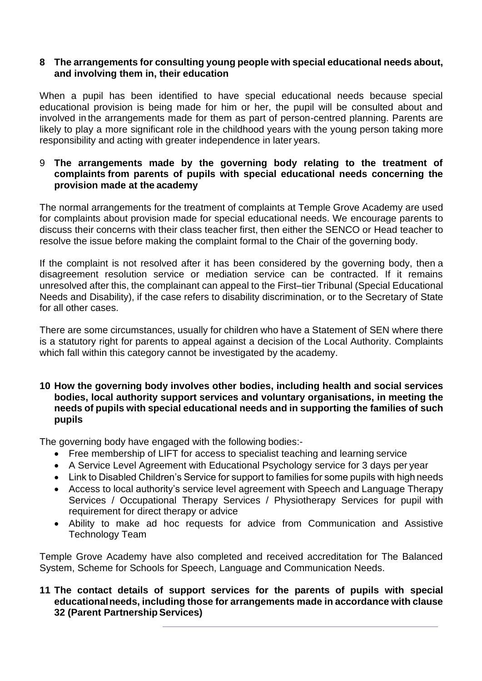### **8 The arrangements for consulting young people with special educational needs about, and involving them in, their education**

When a pupil has been identified to have special educational needs because special educational provision is being made for him or her, the pupil will be consulted about and involved in the arrangements made for them as part of person-centred planning. Parents are likely to play a more significant role in the childhood years with the young person taking more responsibility and acting with greater independence in later years.

### 9 **The arrangements made by the governing body relating to the treatment of complaints from parents of pupils with special educational needs concerning the provision made at the academy**

The normal arrangements for the treatment of complaints at Temple Grove Academy are used for complaints about provision made for special educational needs. We encourage parents to discuss their concerns with their class teacher first, then either the SENCO or Head teacher to resolve the issue before making the complaint formal to the Chair of the governing body.

If the complaint is not resolved after it has been considered by the governing body, then a disagreement resolution service or mediation service can be contracted. If it remains unresolved after this, the complainant can appeal to the First–tier Tribunal (Special Educational Needs and Disability), if the case refers to disability discrimination, or to the Secretary of State for all other cases.

There are some circumstances, usually for children who have a Statement of SEN where there is a statutory right for parents to appeal against a decision of the Local Authority. Complaints which fall within this category cannot be investigated by the academy.

### **10 How the governing body involves other bodies, including health and social services bodies, local authority support services and voluntary organisations, in meeting the needs of pupils with special educational needs and in supporting the families of such pupils**

The governing body have engaged with the following bodies:-

- Free membership of LIFT for access to specialist teaching and learning service
- A Service Level Agreement with Educational Psychology service for 3 days per year
- Link to Disabled Children's Service for support to families for some pupils with high needs
- Access to local authority's service level agreement with Speech and Language Therapy Services / Occupational Therapy Services / Physiotherapy Services for pupil with requirement for direct therapy or advice
- Ability to make ad hoc requests for advice from Communication and Assistive Technology Team

Temple Grove Academy have also completed and received accreditation for The Balanced System, Scheme for Schools for Speech, Language and Communication Needs.

## **11 The contact details of support services for the parents of pupils with special educationalneeds, including those for arrangements made in accordance with clause 32 (Parent PartnershipServices)**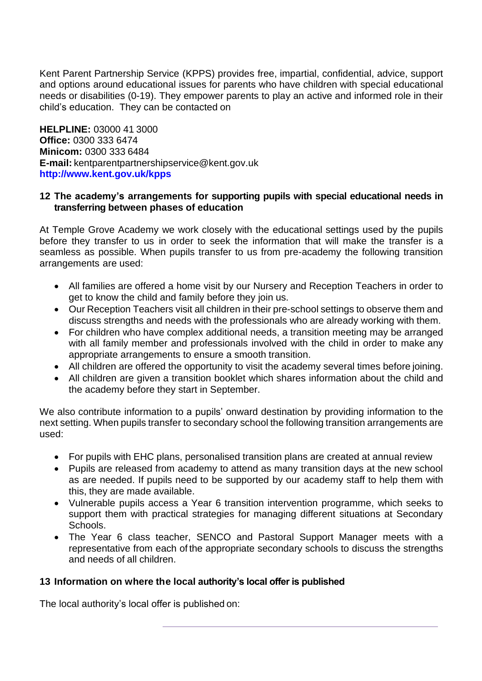Kent Parent Partnership Service (KPPS) provides free, impartial, confidential, advice, support and options around educational issues for parents who have children with special educational needs or disabilities (0-19). They empower parents to play an active and informed role in their child's education. They can be contacted on

**HELPLINE:** 03000 41 3000 **Office:** 0300 333 6474 **Minicom:** 0300 333 6484 **E-mail:** [kentparentpartnershipservice@kent.gov.uk](mailto:kentparentpartnershipservice@kent.gov.uk) **<http://www.kent.gov.uk/kpps>**

### **12 The academy's arrangements for supporting pupils with special educational needs in transferring between phases of education**

At Temple Grove Academy we work closely with the educational settings used by the pupils before they transfer to us in order to seek the information that will make the transfer is a seamless as possible. When pupils transfer to us from pre-academy the following transition arrangements are used:

- All families are offered a home visit by our Nursery and Reception Teachers in order to get to know the child and family before they join us.
- Our Reception Teachers visit all children in their pre-school settings to observe them and discuss strengths and needs with the professionals who are already working with them.
- For children who have complex additional needs, a transition meeting may be arranged with all family member and professionals involved with the child in order to make any appropriate arrangements to ensure a smooth transition.
- All children are offered the opportunity to visit the academy several times before joining.
- All children are given a transition booklet which shares information about the child and the academy before they start in September.

We also contribute information to a pupils' onward destination by providing information to the next setting. When pupils transfer to secondary school the following transition arrangements are used:

- For pupils with EHC plans, personalised transition plans are created at annual review
- Pupils are released from academy to attend as many transition days at the new school as are needed. If pupils need to be supported by our academy staff to help them with this, they are made available.
- Vulnerable pupils access a Year 6 transition intervention programme, which seeks to support them with practical strategies for managing different situations at Secondary Schools.
- The Year 6 class teacher, SENCO and Pastoral Support Manager meets with a representative from each of the appropriate secondary schools to discuss the strengths and needs of all children.

### **13 Information on where the local authority's local offer is published**

The local authority's local offer is published on: